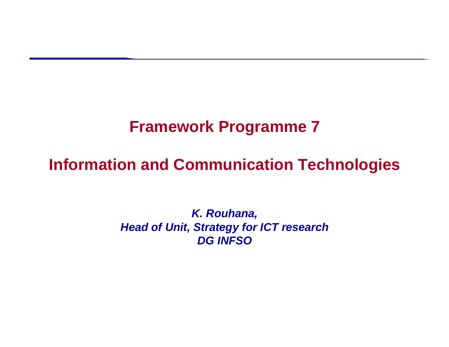## **Framework Programme 7**

### **Information and Communication Technologies**

*K. Rouhana, Head of Unit, Strategy for ICT research DG INFSO*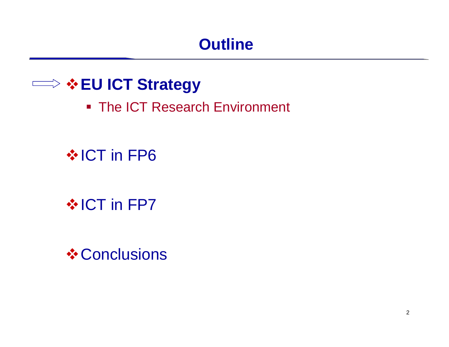## **Outline**

## **EU ICT Strategy**

■ The ICT Research Environment

## $\cdot$  **ICT in FP6**

## $\cdot$  **ICT in FP7**

**❖ Conclusions**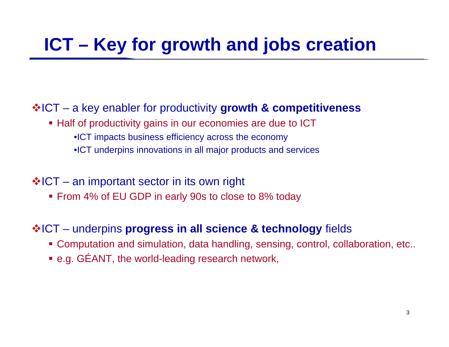# **ICT – Key for growth and jobs creation**

#### ICT – a key enabler for productivity **growth & competitiveness**

- Half of productivity gains in our economies are due to ICT
	- •ICT impacts business efficiency across the economy
	- •ICT underpins innovations in all major products and services

#### $\boldsymbol{\dot{*}}$ ICT – an important sector in its own right

■ From 4% of EU GDP in early 90s to close to 8% today

#### ICT – underpins **progress in all science & technology** fields

- Computation and simulation, data handling, sensing, control, collaboration, etc..
- e.g. GÉANT, the world-leading research network,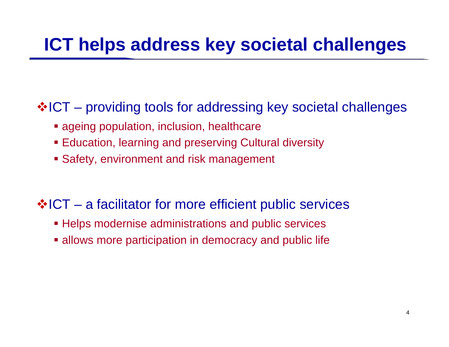## **ICT helps address key societal challenges**

### ❖ICT – providing tools for addressing key societal challenges

- ageing population, inclusion, healthcare
- Education, learning and preserving Cultural diversity
- Safety, environment and risk management

### ❖ICT – a facilitator for more efficient public services

- Helps modernise administrations and public services
- allows more participation in democracy and public life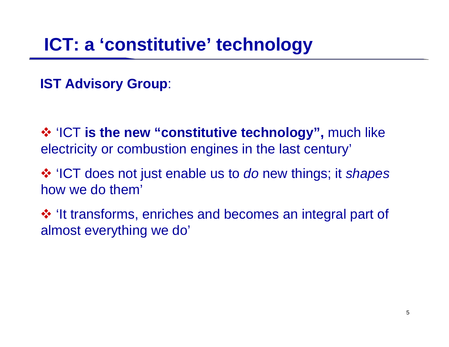## **ICT: a 'constitutive' technology**

**IST Advisory Group**:

 $\diamond$  **'ICT is the new "constitutive technology", much like** electricity or combustion engines in the last century'

 'ICT does not just enable us to *do* new things; it *shapes* how we do them'

 'It transforms, enriches and becomes an integral part of almost everything we do'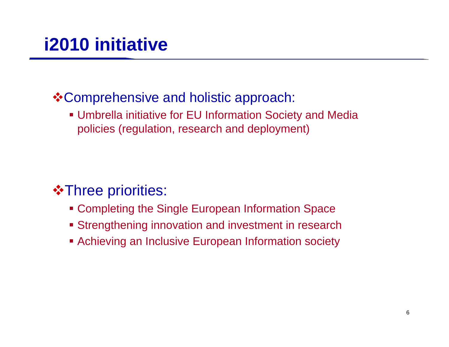### **\* Comprehensive and holistic approach:**

 Umbrella initiative for EU Information Society and Media policies (regulation, research and deployment)

### $\cdot\cdot\cdot$ **Three priorities:**

- Completing the Single European Information Space
- Strengthening innovation and investment in research
- Achieving an Inclusive European Information society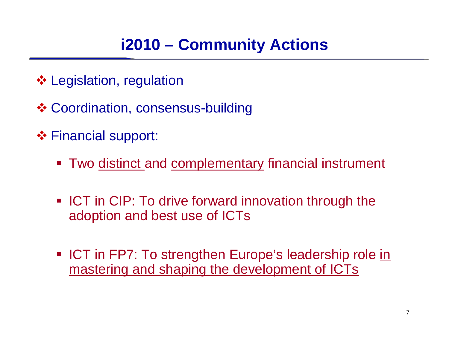- Legislation, regulation
- Coordination, consensus-building
- **❖ Financial support:** 
	- Two distinct and complementary financial instrument
	- **ICT in CIP: To drive forward innovation through the** adoption and best use of ICTs
	- ICT in FP7: To strengthen Europe's leadership role in mastering and shaping the development of ICTs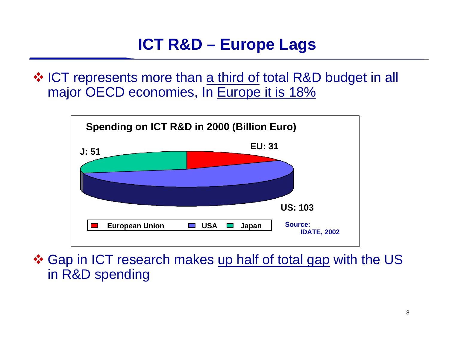❖ ICT represents more than a third of total R&D budget in all major OECD economies, In Europe it is 18%



❖ Gap in ICT research makes up half of total gap with the US in R&D spending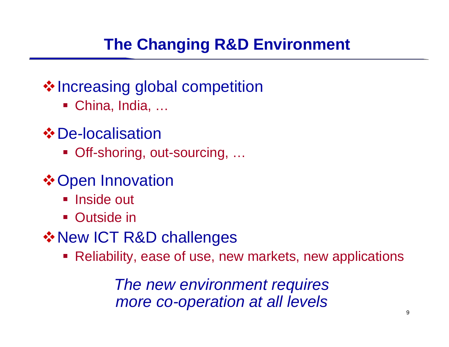## **The Changing R&D Environment**

### **Vertilianal Supersity Setuperson \*** Increasing global competition

- China, India, ...
- **☆** De-localisation
	- Off-shoring, out-sourcing, ...
- **❖ Open Innovation** 
	- Inside out
	- **Outside in**
- **☆ New ICT R&D challenges** 
	- Reliability, ease of use, new markets, new applications

*The new environment requires more co-operation at all levels*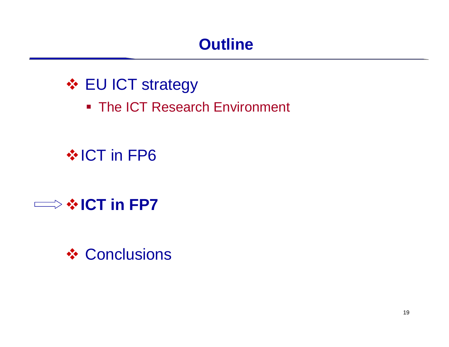## **Outline**

## **❖ EU ICT strategy**

■ The ICT Research Environment

## $\cdot$  **ICT in FP6**

## **ICT in FP7**

### **❖ Conclusions**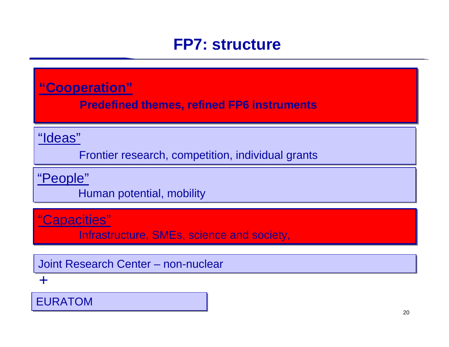### **FP7: structure**

**"Cooperation" "Cooperation"**

**Predefined themes, refined FP6 instruments Predefined themes, refined FP6 instruments**

#### "Ideas" "Ideas"

Frontier research, competition, individual grants Frontier research, competition, individual grants

### <u>"People"</u>

Human potential, mobility Human potential, mobility

### "Capacities" "Capacities"

Infrastructure, SMEs, science and society, Infrastructure, SMEs, science and society,

Joint Research Center – non-nuclear

#### +

EURATOM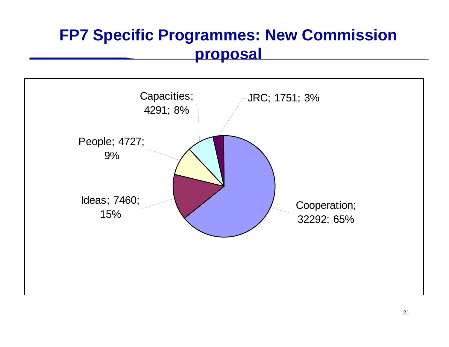## **FP7 Specific Programmes: New Commission proposal**

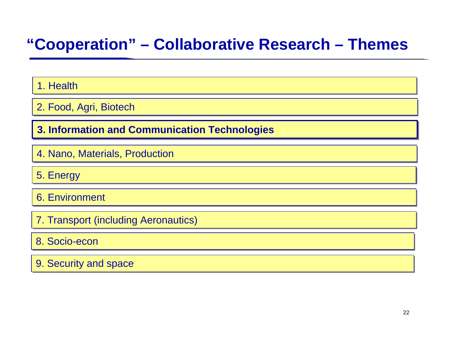## **"Cooperation" – Collaborative Research – Themes**

#### 1. Health

2. Food, Agri, Biotech 2. Food, Agri, Biotech

**3. Information and C 3. Information and Coommunication Technologies mmunication Technologies**

4. Nano, Materials, Production 4. Nano, Materials, Production

5. Energy

6. Environment 6. Environment

7. Transport (including Aeronautics) 7. Transport (including Aeronautics)

#### 8. Socio-econ

9. Security and space 9. Security and space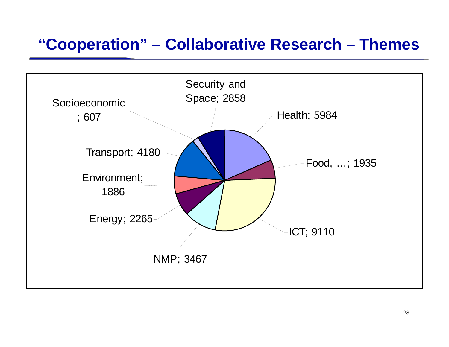### **"Cooperation" – Collaborative Research – Themes**

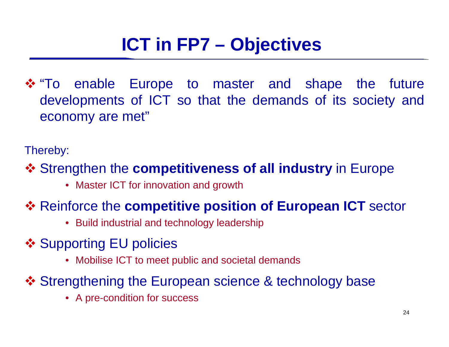"To enable Europe to master and shape the future developments of ICT so that the demands of its society and economy are met"

Thereby:

Strengthen the **competitiveness of all industry** in Europe

• Master ICT for innovation and growth

### **❖ Reinforce the competitive position of European ICT** sector

- Build industrial and technology leadership
- **❖ Supporting EU policies** 
	- Mobilise ICT to meet public and societal demands
- ❖ Strengthening the European science & technology base
	- A pre-condition for success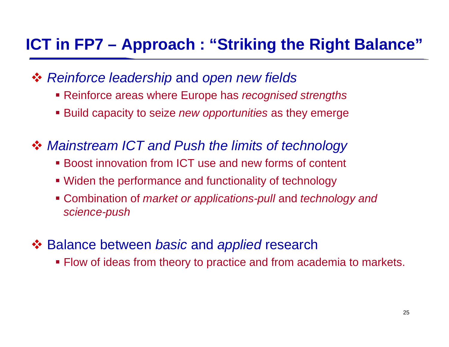## **ICT in FP7 – Approach : "Striking the Right Balance"**

- *Reinforce leadership* and *open new fields*
	- Reinforce areas where Europe has *recognised strengths*
	- Build capacity to seize *new opportunities* as they emerge
- *Mainstream ICT and Push the limits of technology* 
	- Boost innovation from ICT use and new forms of content
	- Widen the performance and functionality of technology
	- Combination of *market or applications-pull* and *technology and science-push*
- **❖ Balance between** *basic* **and** *applied* **research** 
	- Flow of ideas from theory to practice and from academia to markets.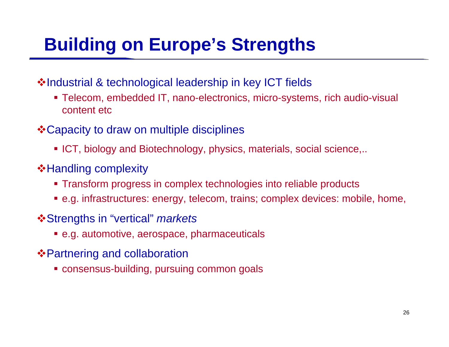# **Building on Europe's Strengths**

- ❖Industrial & technological leadership in key ICT fields
	- Telecom, embedded IT, nano-electronics, micro-systems, rich audio-visual content etc
- **\* Capacity to draw on multiple disciplines** 
	- ICT, biology and Biotechnology, physics, materials, social science,..
- **\*Handling complexity** 
	- Transform progress in complex technologies into reliable products
	- e.g. infrastructures: energy, telecom, trains; complex devices: mobile, home,
- Strengths in "vertical" *markets*
	- e.g. automotive, aerospace, pharmaceuticals
- $\triangle$  **Partnering and collaboration** 
	- consensus-building, pursuing common goals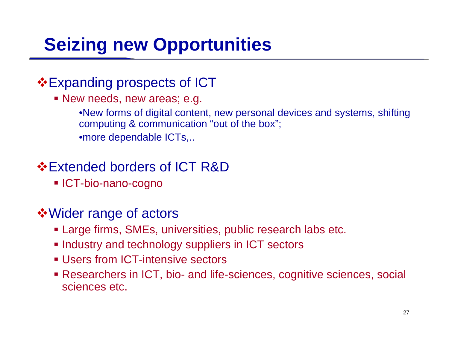# **Seizing new Opportunities**

### **Expanding prospects of ICT**

New needs, new areas; e.g.

•New forms of digital content, new personal devices and systems, shifting computing & communication "out of the box"; •more dependable ICTs,..

### **Extended borders of ICT R&D**

**ICT-bio-nano-cogno** 

### Wider range of actors

- Large firms, SMEs, universities, public research labs etc.
- **Industry and technology suppliers in ICT sectors**
- **Users from ICT-intensive sectors**
- Researchers in ICT, bio- and life-sciences, cognitive sciences, social sciences etc.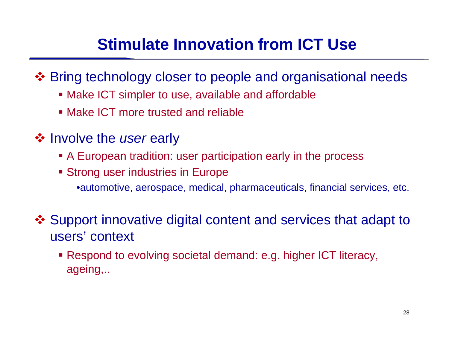## **Stimulate Innovation from ICT Use**

Bring technology closer to people and organisational needs

- Make ICT simpler to use, available and affordable
- **Make ICT more trusted and reliable**
- **❖ Involve the user early** 
	- A European tradition: user participation early in the process
	- **Strong user industries in Europe** •automotive, aerospace, medical, pharmaceuticals, financial services, etc.
- Support innovative digital content and services that adapt to users' context
	- Respond to evolving societal demand: e.g. higher ICT literacy, ageing,..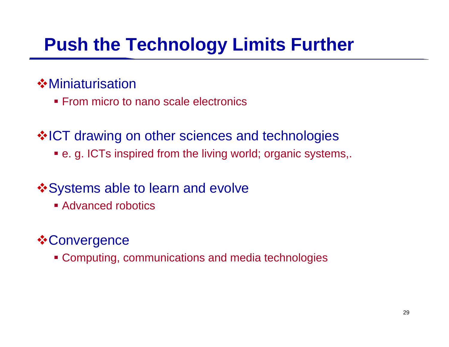## **Push the Technology Limits Further**

### **☆Miniaturisation**

**From micro to nano scale electronics** 

**VICT drawing on other sciences and technologies** 

e. g. ICTs inspired from the living world; organic systems,.

### $\dots$  **Systems able to learn and evolve**

**Advanced robotics** 

### **☆Convergence**

Computing, communications and media technologies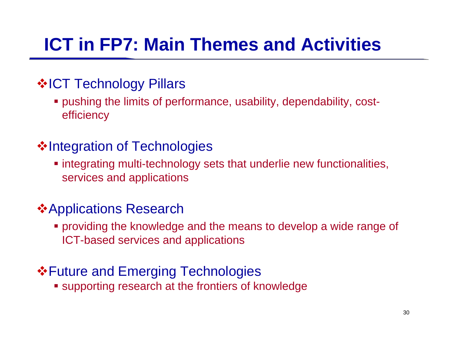# **ICT in FP7: Main Themes and Activities**

### ❖ICT Technology Pillars

 pushing the limits of performance, usability, dependability, costefficiency

### ❖Integration of Technologies

 integrating multi-technology sets that underlie new functionalities, services and applications

### Applications Research

 providing the knowledge and the means to develop a wide range of ICT-based services and applications

### **\*Future and Emerging Technologies**

supporting research at the frontiers of knowledge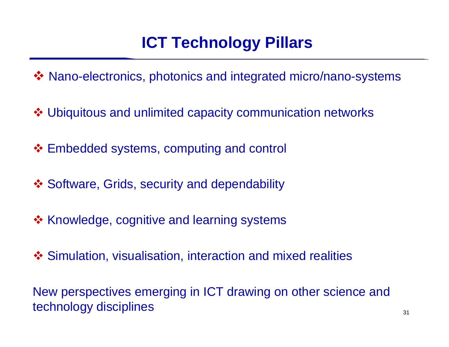## **ICT Technology Pillars**

Nano-electronics, photonics and integrated micro/nano-systems

Ubiquitous and unlimited capacity communication networks

❖ Embedded systems, computing and control

- ❖ Software, Grids, security and dependability
- ❖ Knowledge, cognitive and learning systems
- Simulation, visualisation, interaction and mixed realities

New perspectives emerging in ICT drawing on other science and technology disciplines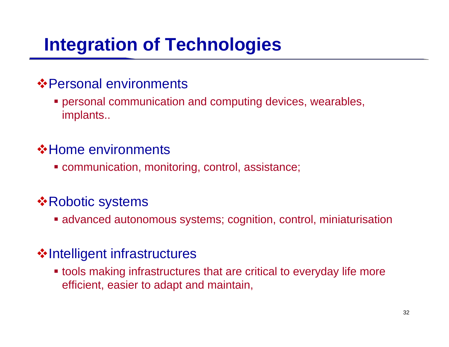# **Integration of Technologies**

### Personal environments

 personal communication and computing devices, wearables, implants..

### Home environments

communication, monitoring, control, assistance;

### **☆Robotic systems**

advanced autonomous systems; cognition, control, miniaturisation

### **Velociate infrastructures**

 tools making infrastructures that are critical to everyday life more efficient, easier to adapt and maintain,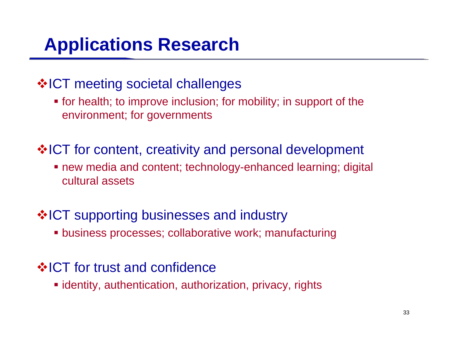## **Applications Research**

### $\dots$ **ICT** meeting societal challenges

 for health; to improve inclusion; for mobility; in support of the environment; for governments

### **\*ICT** for content, creativity and personal development

 new media and content; technology-enhanced learning; digital cultural assets

### **☆ICT supporting businesses and industry**

business processes; collaborative work; manufacturing

### **VICT** for trust and confidence

identity, authentication, authorization, privacy, rights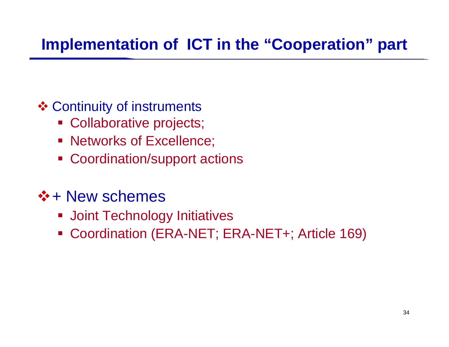## **Implementation of ICT in the "Cooperation" part**

- **❖ Continuity of instruments** 
	- Collaborative projects;
	- Networks of Excellence;
	- Coordination/support actions
- $\div$  + New schemes
	- **Joint Technology Initiatives**
	- Coordination (ERA-NET; ERA-NET+; Article 169)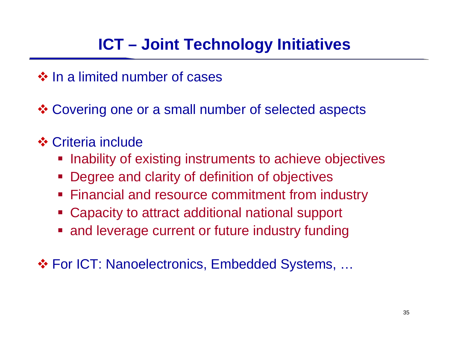## **ICT – Joint Technology Initiatives**

 $\dots$  In a limited number of cases

Covering one or a small number of selected aspects

- **❖ Criteria include** 
	- **Inability of existing instruments to achieve objectives**
	- **Degree and clarity of definition of objectives**
	- **Financial and resource commitment from industry**
	- Capacity to attract additional national support
	- **and leverage current or future industry funding**

For ICT: Nanoelectronics, Embedded Systems, …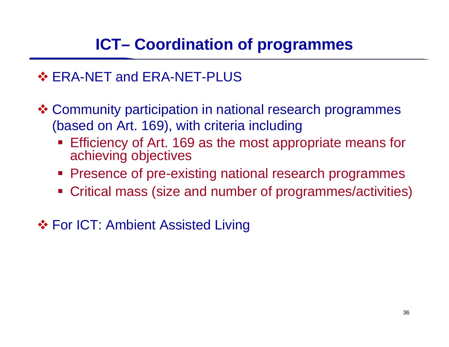## **ICT– Coordination of programmes**

### ❖ ERA-NET and ERA-NET-PLUS

 Community participation in national research programmes (based on Art. 169), with criteria including

- **Efficiency of Art. 169 as the most appropriate means for** achieving objectives
- **Presence of pre-existing national research programmes**
- Critical mass (size and number of programmes/activities)

**❖ For ICT: Ambient Assisted Living**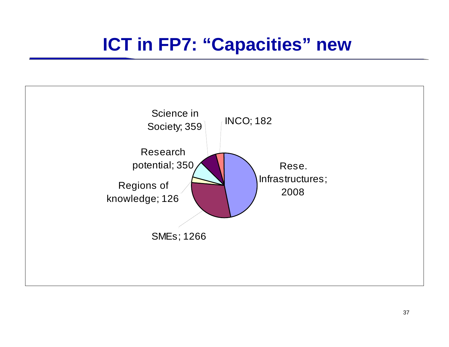## **ICT in FP7: "Capacities" new**

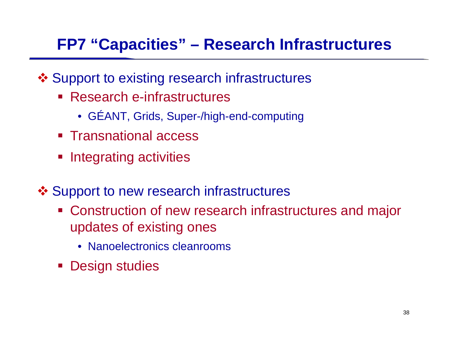## **FP7 "Capacities" – Research Infrastructures**

- Support to existing research infrastructures
	- Research e-infrastructures
		- •GÉANT, Grids, Super-/high-end-computing
	- Transnational access
	- **Integrating activities**
- ❖ Support to new research infrastructures
	- **EX Construction of new research infrastructures and major** updates of existing ones
		- Nanoelectronics cleanrooms
	- **Design studies**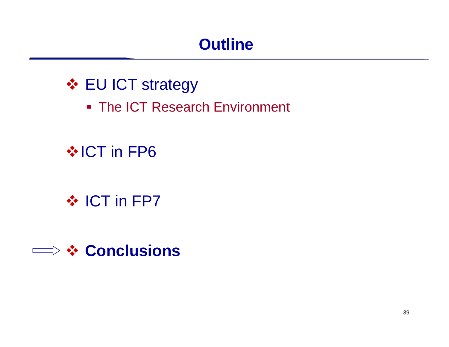## **Outline**

## **❖ EU ICT strategy**

■ The ICT Research Environment

## $\cdot$  **ICT in FP6**

## ❖ ICT in FP7

## **Conclusions**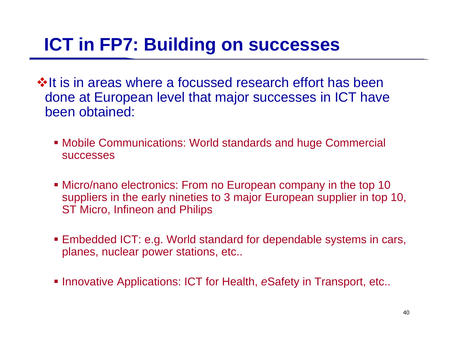## **ICT in FP7: Building on successes**

- **Volt is in areas where a focussed research effort has been** done at European level that major successes in ICT have been obtained:
	- Mobile Communications: World standards and huge Commercial successes
	- Micro/nano electronics: From no European company in the top 10 suppliers in the early nineties to 3 major European supplier in top 10, ST Micro, Infineon and Philips
	- Embedded ICT: e.g. World standard for dependable systems in cars, planes, nuclear power stations, etc..
	- **Innovative Applications: ICT for Health, eSafety in Transport, etc..**